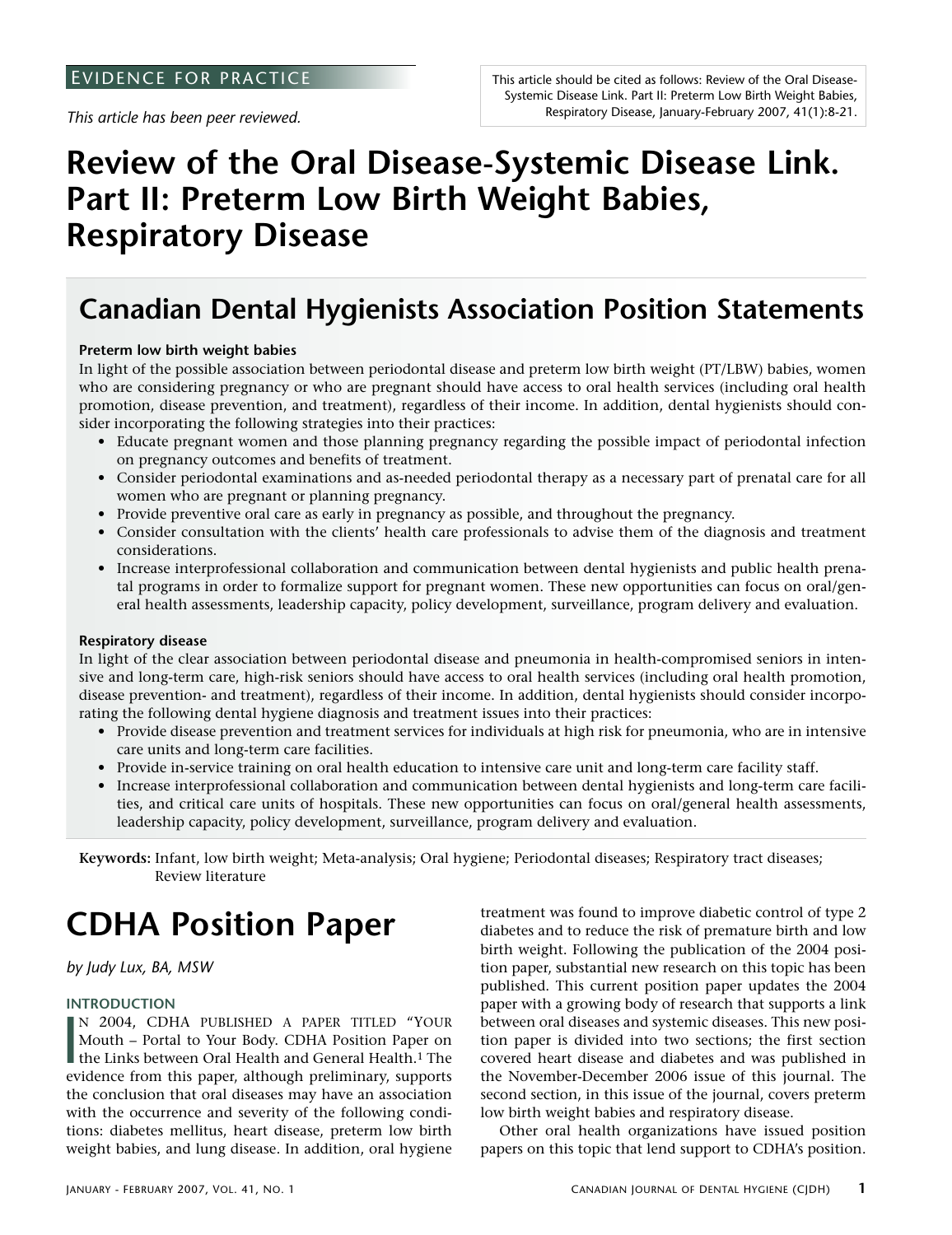*This article has been peer reviewed.*

# **Review of the Oral Disease-Systemic Disease Link. Part II: Preterm Low Birth Weight Babies, Respiratory Disease**

## **Canadian Dental Hygienists Association Position Statements**

### **Preterm low birth weight babies**

In light of the possible association between periodontal disease and preterm low birth weight (PT/LBW) babies, women who are considering pregnancy or who are pregnant should have access to oral health services (including oral health promotion, disease prevention, and treatment), regardless of their income. In addition, dental hygienists should consider incorporating the following strategies into their practices:

- Educate pregnant women and those planning pregnancy regarding the possible impact of periodontal infection on pregnancy outcomes and benefits of treatment.
- Consider periodontal examinations and as-needed periodontal therapy as a necessary part of prenatal care for all women who are pregnant or planning pregnancy.
- Provide preventive oral care as early in pregnancy as possible, and throughout the pregnancy.
- Consider consultation with the clients' health care professionals to advise them of the diagnosis and treatment considerations.
- Increase interprofessional collaboration and communication between dental hygienists and public health prenatal programs in order to formalize support for pregnant women. These new opportunities can focus on oral/general health assessments, leadership capacity, policy development, surveillance, program delivery and evaluation.

### **Respiratory disease**

In light of the clear association between periodontal disease and pneumonia in health-compromised seniors in intensive and long-term care, high-risk seniors should have access to oral health services (including oral health promotion, disease prevention- and treatment), regardless of their income. In addition, dental hygienists should consider incorporating the following dental hygiene diagnosis and treatment issues into their practices:

- Provide disease prevention and treatment services for individuals at high risk for pneumonia, who are in intensive care units and long-term care facilities.
- Provide in-service training on oral health education to intensive care unit and long-term care facility staff.
- Increase interprofessional collaboration and communication between dental hygienists and long-term care facilities, and critical care units of hospitals. These new opportunities can focus on oral/general health assessments, leadership capacity, policy development, surveillance, program delivery and evaluation.

**Keywords:** Infant, low birth weight; Meta-analysis; Oral hygiene; Periodontal diseases; Respiratory tract diseases; Review literature

# **CDHA Position Paper**

*by Judy Lux, BA, MSW*

### **INTRODUCTION**

**I** N 2004, CDHA PUBLISHED A PAPER TITLED "YOUR Mouth – Portal to Your Body. CDHA Position Paper on the Links between Oral Health and General Health.1 The evidence from this paper, although preliminary, supports the conclusion that oral diseases may have an association with the occurrence and severity of the following conditions: diabetes mellitus, heart disease, preterm low birth weight babies, and lung disease. In addition, oral hygiene

treatment was found to improve diabetic control of type 2 diabetes and to reduce the risk of premature birth and low birth weight. Following the publication of the 2004 position paper, substantial new research on this topic has been published. This current position paper updates the 2004 paper with a growing body of research that supports a link between oral diseases and systemic diseases. This new position paper is divided into two sections; the first section covered heart disease and diabetes and was published in the November-December 2006 issue of this journal. The second section, in this issue of the journal, covers preterm low birth weight babies and respiratory disease.

Other oral health organizations have issued position papers on this topic that lend support to CDHA's position.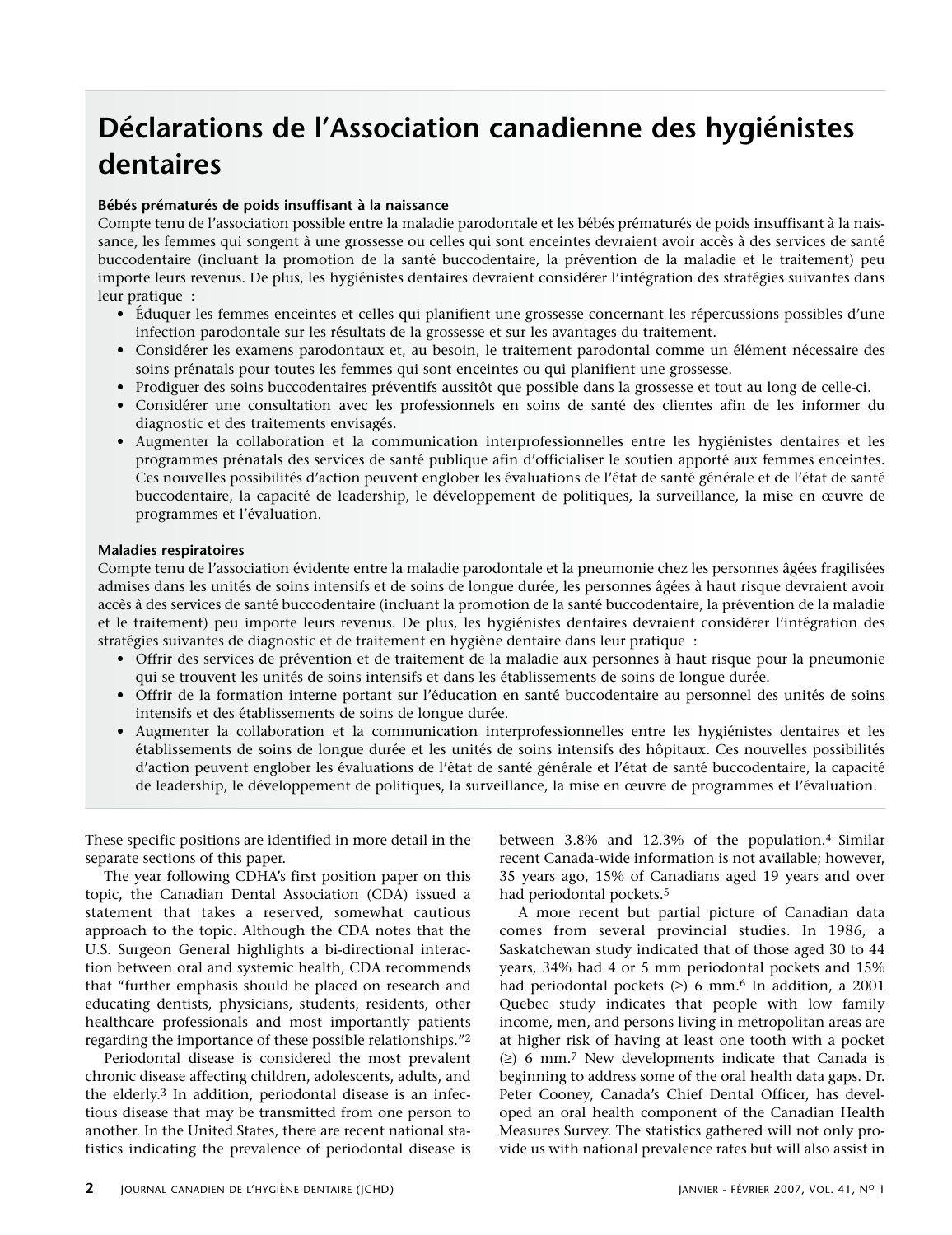## **Déclarations de l'Association canadienne des hygiénistes dentaires**

### **Bébés prématurés de poids insuffisant à la naissance**

Compte tenu de l'association possible entre la maladie parodontale et les bébés prématurés de poids insuffisant à la naissance, les femmes qui songent à une grossesse ou celles qui sont enceintes devraient avoir accès à des services de santé buccodentaire (incluant la promotion de la santé buccodentaire, la prévention de la maladie et le traitement) peu importe leurs revenus. De plus, les hygiénistes dentaires devraient considérer l'intégration des stratégies suivantes dans leur pratique :

- Éduquer les femmes enceintes et celles qui planifient une grossesse concernant les répercussions possibles d'une infection parodontale sur les résultats de la grossesse et sur les avantages du traitement.
- Considérer les examens parodontaux et, au besoin, le traitement parodontal comme un élément nécessaire des soins prénatals pour toutes les femmes qui sont enceintes ou qui planifient une grossesse.
- Prodiguer des soins buccodentaires préventifs aussitôt que possible dans la grossesse et tout au long de celle-ci.
- Considérer une consultation avec les professionnels en soins de santé des clientes afin de les informer du diagnostic et des traitements envisagés.
- Augmenter la collaboration et la communication interprofessionnelles entre les hygiénistes dentaires et les programmes prénatals des services de santé publique afin d'officialiser le soutien apporté aux femmes enceintes. Ces nouvelles possibilités d'action peuvent englober les évaluations de l'état de santé générale et de l'état de santé buccodentaire, la capacité de leadership, le développement de politiques, la surveillance, la mise en œuvre de programmes et l'évaluation.

### **Maladies respiratoires**

Compte tenu de l'association évidente entre la maladie parodontale et la pneumonie chez les personnes âgées fragilisées admises dans les unités de soins intensifs et de soins de longue durée, les personnes âgées à haut risque devraient avoir accès à des services de santé buccodentaire (incluant la promotion de la santé buccodentaire, la prévention de la maladie et le traitement) peu importe leurs revenus. De plus, les hygiénistes dentaires devraient considérer l'intégration des stratégies suivantes de diagnostic et de traitement en hygiène dentaire dans leur pratique :

- Offrir des services de prévention et de traitement de la maladie aux personnes à haut risque pour la pneumonie qui se trouvent les unités de soins intensifs et dans les établissements de soins de longue durée.
- Offrir de la formation interne portant sur l'éducation en santé buccodentaire au personnel des unités de soins intensifs et des établissements de soins de longue durée.
- Augmenter la collaboration et la communication interprofessionnelles entre les hygiénistes dentaires et les établissements de soins de longue durée et les unités de soins intensifs des hôpitaux. Ces nouvelles possibilités d'action peuvent englober les évaluations de l'état de santé générale et l'état de santé buccodentaire, la capacité de leadership, le développement de politiques, la surveillance, la mise en œuvre de programmes et l'évaluation.

These specific positions are identified in more detail in the separate sections of this paper.

The year following CDHA's first position paper on this topic, the Canadian Dental Association (CDA) issued a statement that takes a reserved, somewhat cautious approach to the topic. Although the CDA notes that the U.S. Surgeon General highlights a bi-directional interaction between oral and systemic health, CDA recommends that "further emphasis should be placed on research and educating dentists, physicians, students, residents, other healthcare professionals and most importantly patients regarding the importance of these possible relationships."2

Periodontal disease is considered the most prevalent chronic disease affecting children, adolescents, adults, and the elderly.3 In addition, periodontal disease is an infectious disease that may be transmitted from one person to another. In the United States, there are recent national statistics indicating the prevalence of periodontal disease is between 3.8% and 12.3% of the population.4 Similar recent Canada-wide information is not available; however, 35 years ago, 15% of Canadians aged 19 years and over had periodontal pockets.5

A more recent but partial picture of Canadian data comes from several provincial studies. In 1986, a Saskatchewan study indicated that of those aged 30 to 44 years, 34% had 4 or 5 mm periodontal pockets and 15% had periodontal pockets  $(≥)$  6 mm.<sup>6</sup> In addition, a 2001 Quebec study indicates that people with low family income, men, and persons living in metropolitan areas are at higher risk of having at least one tooth with a pocket (≥) 6 mm.7 New developments indicate that Canada is beginning to address some of the oral health data gaps. Dr. Peter Cooney, Canada's Chief Dental Officer, has developed an oral health component of the Canadian Health Measures Survey. The statistics gathered will not only provide us with national prevalence rates but will also assist in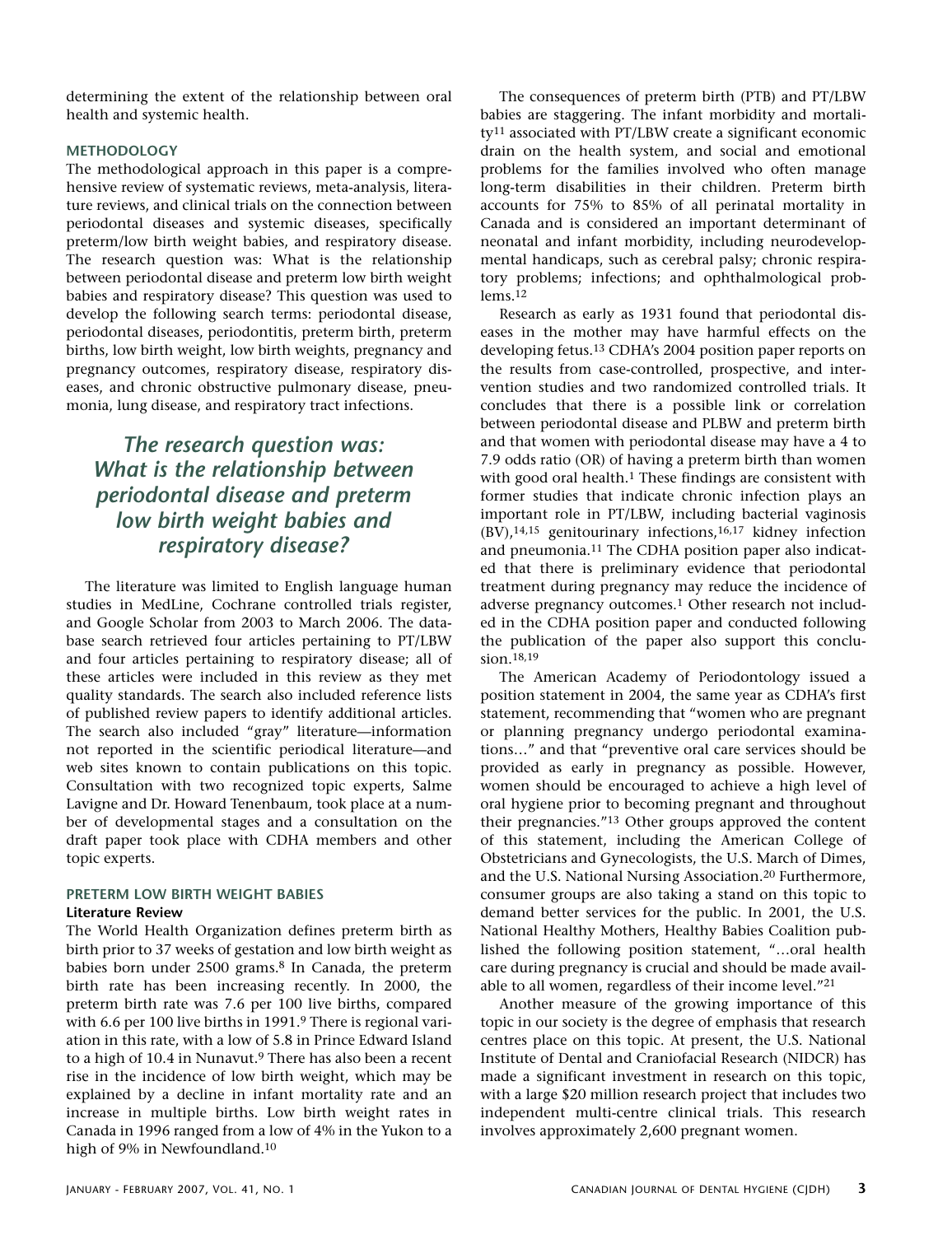determining the extent of the relationship between oral health and systemic health.

### **METHODOLOGY**

The methodological approach in this paper is a comprehensive review of systematic reviews, meta-analysis, literature reviews, and clinical trials on the connection between periodontal diseases and systemic diseases, specifically preterm/low birth weight babies, and respiratory disease. The research question was: What is the relationship between periodontal disease and preterm low birth weight babies and respiratory disease? This question was used to develop the following search terms: periodontal disease, periodontal diseases, periodontitis, preterm birth, preterm births, low birth weight, low birth weights, pregnancy and pregnancy outcomes, respiratory disease, respiratory diseases, and chronic obstructive pulmonary disease, pneumonia, lung disease, and respiratory tract infections.

### *The research question was: What is the relationship between periodontal disease and preterm low birth weight babies and respiratory disease?*

The literature was limited to English language human studies in MedLine, Cochrane controlled trials register, and Google Scholar from 2003 to March 2006. The database search retrieved four articles pertaining to PT/LBW and four articles pertaining to respiratory disease; all of these articles were included in this review as they met quality standards. The search also included reference lists of published review papers to identify additional articles. The search also included "gray" literature—information not reported in the scientific periodical literature—and web sites known to contain publications on this topic. Consultation with two recognized topic experts, Salme Lavigne and Dr. Howard Tenenbaum, took place at a number of developmental stages and a consultation on the draft paper took place with CDHA members and other topic experts.

### **PRETERM LOW BIRTH WEIGHT BABIES Literature Review**

The World Health Organization defines preterm birth as birth prior to 37 weeks of gestation and low birth weight as babies born under 2500 grams.8 In Canada, the preterm birth rate has been increasing recently. In 2000, the preterm birth rate was 7.6 per 100 live births, compared with 6.6 per 100 live births in 1991.<sup>9</sup> There is regional variation in this rate, with a low of 5.8 in Prince Edward Island to a high of 10.4 in Nunavut.9 There has also been a recent rise in the incidence of low birth weight, which may be explained by a decline in infant mortality rate and an increase in multiple births. Low birth weight rates in Canada in 1996 ranged from a low of 4% in the Yukon to a high of 9% in Newfoundland.10

The consequences of preterm birth (PTB) and PT/LBW babies are staggering. The infant morbidity and mortality11 associated with PT/LBW create a significant economic drain on the health system, and social and emotional problems for the families involved who often manage long-term disabilities in their children. Preterm birth accounts for 75% to 85% of all perinatal mortality in Canada and is considered an important determinant of neonatal and infant morbidity, including neurodevelopmental handicaps, such as cerebral palsy; chronic respiratory problems; infections; and ophthalmological problems.12

Research as early as 1931 found that periodontal diseases in the mother may have harmful effects on the developing fetus.13 CDHA's 2004 position paper reports on the results from case-controlled, prospective, and intervention studies and two randomized controlled trials. It concludes that there is a possible link or correlation between periodontal disease and PLBW and preterm birth and that women with periodontal disease may have a 4 to 7.9 odds ratio (OR) of having a preterm birth than women with good oral health.<sup>1</sup> These findings are consistent with former studies that indicate chronic infection plays an important role in PT/LBW, including bacterial vaginosis (BV),14,15 genitourinary infections,16,17 kidney infection and pneumonia.11 The CDHA position paper also indicated that there is preliminary evidence that periodontal treatment during pregnancy may reduce the incidence of adverse pregnancy outcomes.1 Other research not included in the CDHA position paper and conducted following the publication of the paper also support this conclusion.18,19

The American Academy of Periodontology issued a position statement in 2004, the same year as CDHA's first statement, recommending that "women who are pregnant or planning pregnancy undergo periodontal examinations…" and that "preventive oral care services should be provided as early in pregnancy as possible. However, women should be encouraged to achieve a high level of oral hygiene prior to becoming pregnant and throughout their pregnancies."13 Other groups approved the content of this statement, including the American College of Obstetricians and Gynecologists, the U.S. March of Dimes, and the U.S. National Nursing Association.20 Furthermore, consumer groups are also taking a stand on this topic to demand better services for the public. In 2001, the U.S. National Healthy Mothers, Healthy Babies Coalition published the following position statement, "…oral health care during pregnancy is crucial and should be made available to all women, regardless of their income level."21

Another measure of the growing importance of this topic in our society is the degree of emphasis that research centres place on this topic. At present, the U.S. National Institute of Dental and Craniofacial Research (NIDCR) has made a significant investment in research on this topic, with a large \$20 million research project that includes two independent multi-centre clinical trials. This research involves approximately 2,600 pregnant women.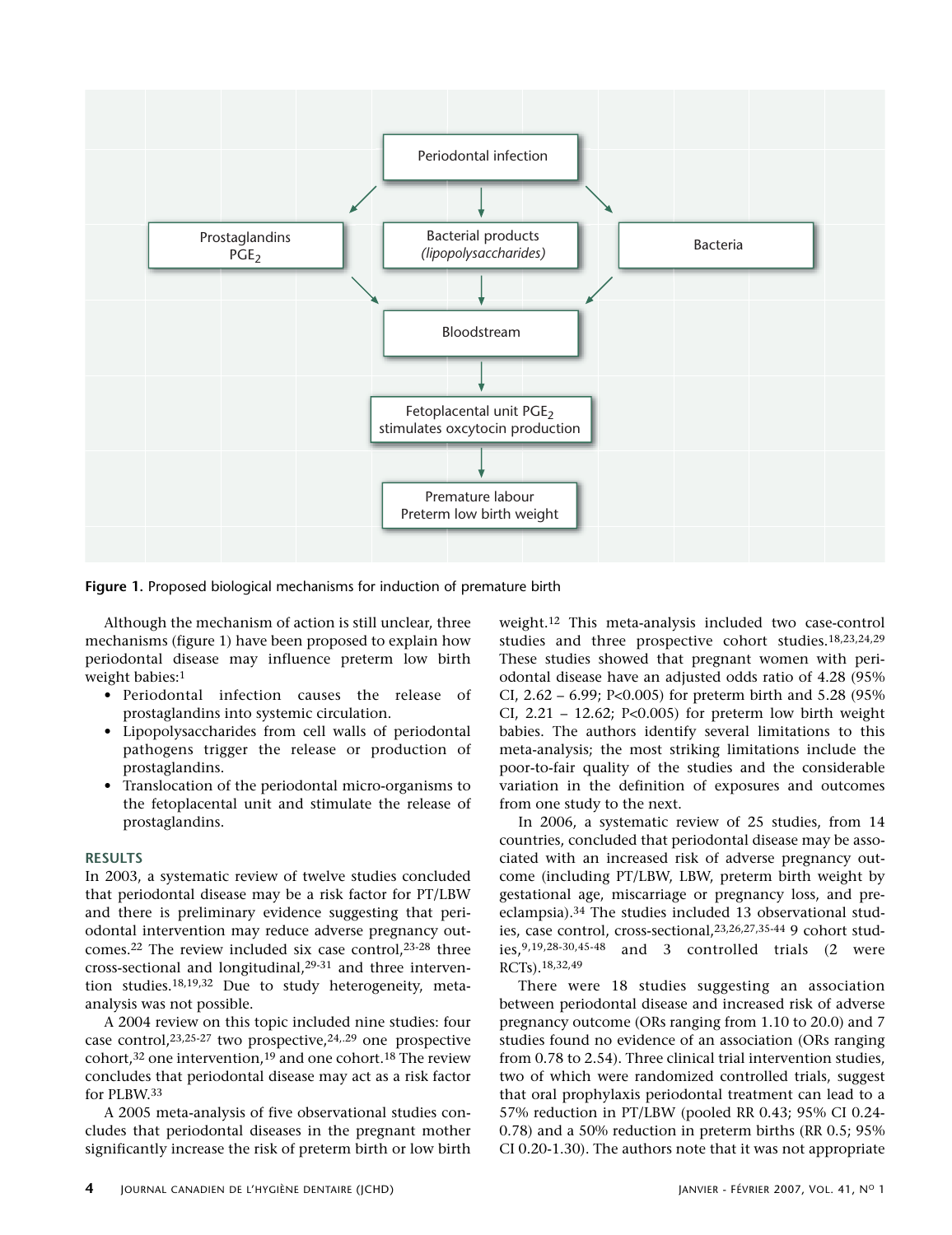

**Figure 1.** Proposed biological mechanisms for induction of premature birth

Although the mechanism of action is still unclear, three mechanisms (figure 1) have been proposed to explain how periodontal disease may influence preterm low birth weight babies:1

- Periodontal infection causes the release of prostaglandins into systemic circulation.
- Lipopolysaccharides from cell walls of periodontal pathogens trigger the release or production of prostaglandins.
- Translocation of the periodontal micro-organisms to the fetoplacental unit and stimulate the release of prostaglandins.

#### **RESULTS**

In 2003, a systematic review of twelve studies concluded that periodontal disease may be a risk factor for PT/LBW and there is preliminary evidence suggesting that periodontal intervention may reduce adverse pregnancy outcomes.22 The review included six case control,23-28 three cross-sectional and longitudinal,29-31 and three intervention studies.18,19,32 Due to study heterogeneity, metaanalysis was not possible.

A 2004 review on this topic included nine studies: four case control,  $23,25-27$  two prospective,  $24,29$  one prospective cohort,32 one intervention,19 and one cohort.18 The review concludes that periodontal disease may act as a risk factor for PLBW.33

A 2005 meta-analysis of five observational studies concludes that periodontal diseases in the pregnant mother significantly increase the risk of preterm birth or low birth weight.12 This meta-analysis included two case-control studies and three prospective cohort studies.18,23,24,29 These studies showed that pregnant women with periodontal disease have an adjusted odds ratio of 4.28 (95% CI, 2.62 – 6.99; P<0.005) for preterm birth and 5.28 (95% CI,  $2.21 - 12.62$ ; P<0.005) for preterm low birth weight babies. The authors identify several limitations to this meta-analysis; the most striking limitations include the poor-to-fair quality of the studies and the considerable variation in the definition of exposures and outcomes from one study to the next.

In 2006, a systematic review of 25 studies, from 14 countries, concluded that periodontal disease may be associated with an increased risk of adverse pregnancy outcome (including PT/LBW, LBW, preterm birth weight by gestational age, miscarriage or pregnancy loss, and preeclampsia).34 The studies included 13 observational studies, case control, cross-sectional,23,26,27,35-44 9 cohort studies,9,19,28-30,45-48 and 3 controlled trials (2 were RCTs).18,32,49

There were 18 studies suggesting an association between periodontal disease and increased risk of adverse pregnancy outcome (ORs ranging from 1.10 to 20.0) and 7 studies found no evidence of an association (ORs ranging from 0.78 to 2.54). Three clinical trial intervention studies, two of which were randomized controlled trials, suggest that oral prophylaxis periodontal treatment can lead to a 57% reduction in PT/LBW (pooled RR 0.43; 95% CI 0.24- 0.78) and a 50% reduction in preterm births (RR 0.5; 95% CI 0.20-1.30). The authors note that it was not appropriate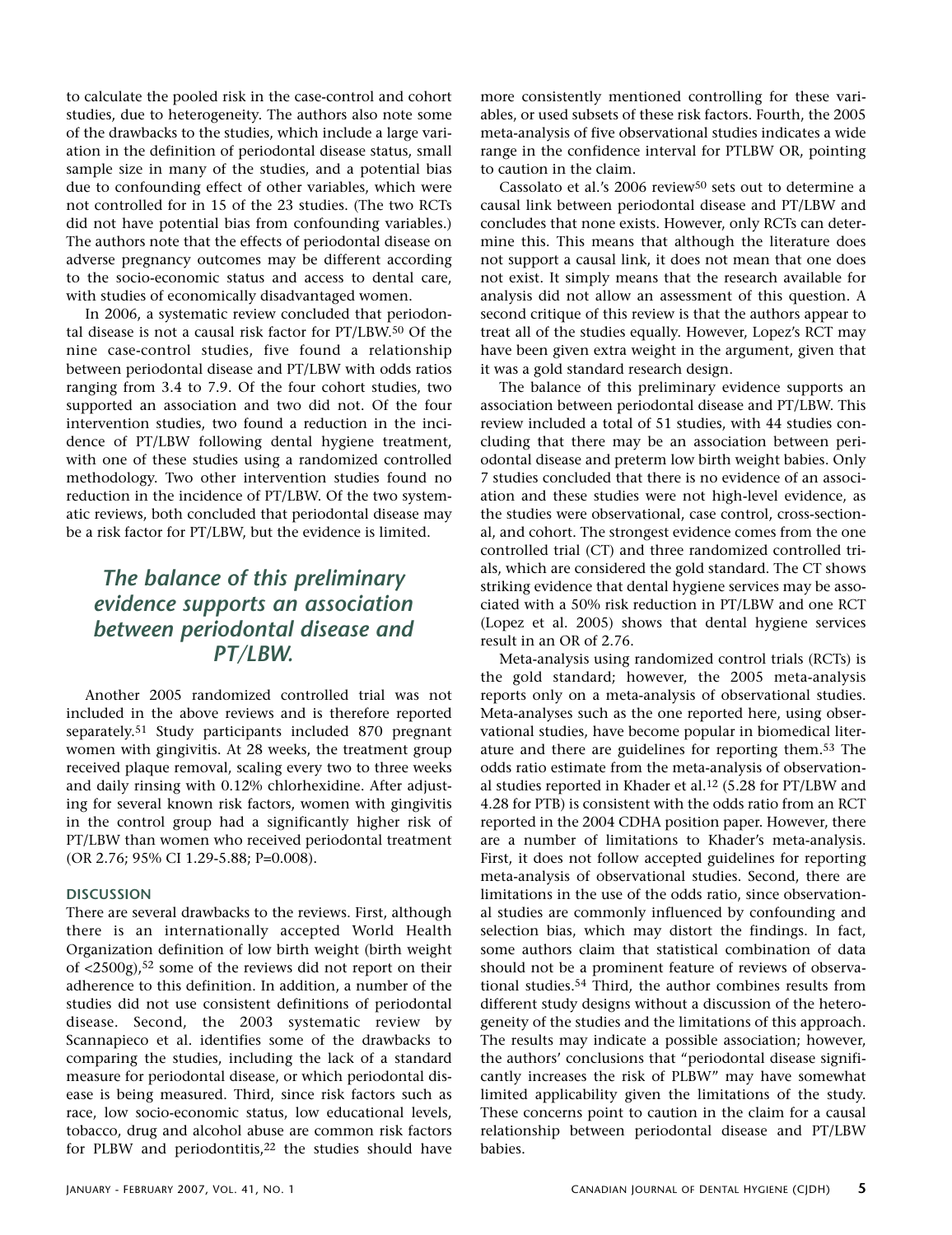to calculate the pooled risk in the case-control and cohort studies, due to heterogeneity. The authors also note some of the drawbacks to the studies, which include a large variation in the definition of periodontal disease status, small sample size in many of the studies, and a potential bias due to confounding effect of other variables, which were not controlled for in 15 of the 23 studies. (The two RCTs did not have potential bias from confounding variables.) The authors note that the effects of periodontal disease on adverse pregnancy outcomes may be different according to the socio-economic status and access to dental care, with studies of economically disadvantaged women.

In 2006, a systematic review concluded that periodontal disease is not a causal risk factor for PT/LBW.50 Of the nine case-control studies, five found a relationship between periodontal disease and PT/LBW with odds ratios ranging from 3.4 to 7.9. Of the four cohort studies, two supported an association and two did not. Of the four intervention studies, two found a reduction in the incidence of PT/LBW following dental hygiene treatment, with one of these studies using a randomized controlled methodology. Two other intervention studies found no reduction in the incidence of PT/LBW. Of the two systematic reviews, both concluded that periodontal disease may be a risk factor for PT/LBW, but the evidence is limited.

### *The balance of this preliminary evidence supports an association between periodontal disease and PT/LBW.*

Another 2005 randomized controlled trial was not included in the above reviews and is therefore reported separately.51 Study participants included 870 pregnant women with gingivitis. At 28 weeks, the treatment group received plaque removal, scaling every two to three weeks and daily rinsing with 0.12% chlorhexidine. After adjusting for several known risk factors, women with gingivitis in the control group had a significantly higher risk of PT/LBW than women who received periodontal treatment (OR 2.76; 95% CI 1.29-5.88; P=0.008).

### **DISCUSSION**

There are several drawbacks to the reviews. First, although there is an internationally accepted World Health Organization definition of low birth weight (birth weight of <2500g),52 some of the reviews did not report on their adherence to this definition. In addition, a number of the studies did not use consistent definitions of periodontal disease. Second, the 2003 systematic review by Scannapieco et al. identifies some of the drawbacks to comparing the studies, including the lack of a standard measure for periodontal disease, or which periodontal disease is being measured. Third, since risk factors such as race, low socio-economic status, low educational levels, tobacco, drug and alcohol abuse are common risk factors for PLBW and periodontitis,<sup>22</sup> the studies should have more consistently mentioned controlling for these variables, or used subsets of these risk factors. Fourth, the 2005 meta-analysis of five observational studies indicates a wide range in the confidence interval for PTLBW OR, pointing to caution in the claim.

Cassolato et al.'s 2006 review<sup>50</sup> sets out to determine a causal link between periodontal disease and PT/LBW and concludes that none exists. However, only RCTs can determine this. This means that although the literature does not support a causal link, it does not mean that one does not exist. It simply means that the research available for analysis did not allow an assessment of this question. A second critique of this review is that the authors appear to treat all of the studies equally. However, Lopez's RCT may have been given extra weight in the argument, given that it was a gold standard research design.

The balance of this preliminary evidence supports an association between periodontal disease and PT/LBW. This review included a total of 51 studies, with 44 studies concluding that there may be an association between periodontal disease and preterm low birth weight babies. Only 7 studies concluded that there is no evidence of an association and these studies were not high-level evidence, as the studies were observational, case control, cross-sectional, and cohort. The strongest evidence comes from the one controlled trial (CT) and three randomized controlled trials, which are considered the gold standard. The CT shows striking evidence that dental hygiene services may be associated with a 50% risk reduction in PT/LBW and one RCT (Lopez et al. 2005) shows that dental hygiene services result in an OR of 2.76.

Meta-analysis using randomized control trials (RCTs) is the gold standard; however, the 2005 meta-analysis reports only on a meta-analysis of observational studies. Meta-analyses such as the one reported here, using observational studies, have become popular in biomedical literature and there are guidelines for reporting them.53 The odds ratio estimate from the meta-analysis of observational studies reported in Khader et al.12 (5.28 for PT/LBW and 4.28 for PTB) is consistent with the odds ratio from an RCT reported in the 2004 CDHA position paper. However, there are a number of limitations to Khader's meta-analysis. First, it does not follow accepted guidelines for reporting meta-analysis of observational studies. Second, there are limitations in the use of the odds ratio, since observational studies are commonly influenced by confounding and selection bias, which may distort the findings. In fact, some authors claim that statistical combination of data should not be a prominent feature of reviews of observational studies.54 Third, the author combines results from different study designs without a discussion of the heterogeneity of the studies and the limitations of this approach. The results may indicate a possible association; however, the authors' conclusions that "periodontal disease significantly increases the risk of PLBW" may have somewhat limited applicability given the limitations of the study. These concerns point to caution in the claim for a causal relationship between periodontal disease and PT/LBW babies.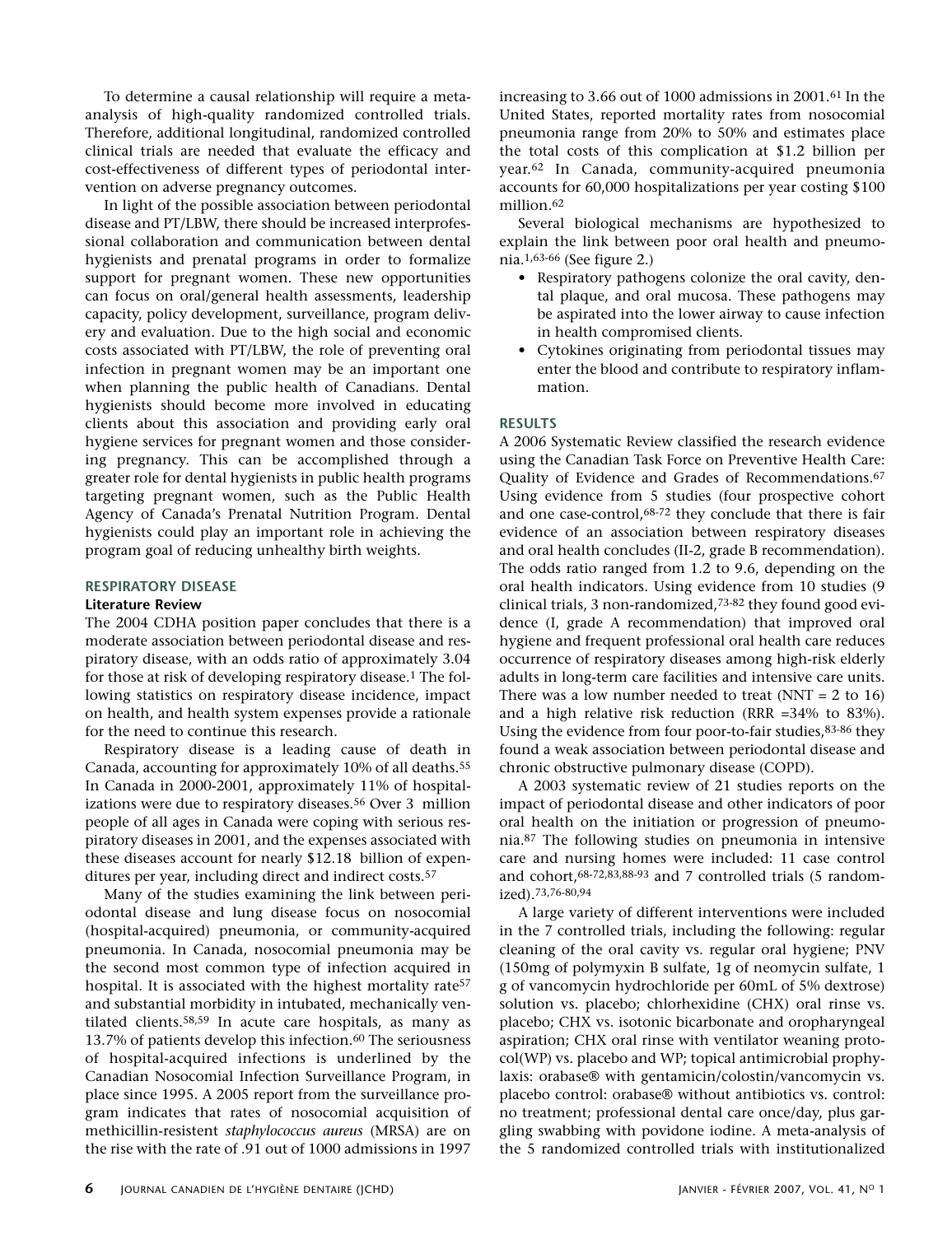To determine a causal relationship will require a metaanalysis of high-quality randomized controlled trials. Therefore, additional longitudinal, randomized controlled clinical trials are needed that evaluate the efficacy and cost-effectiveness of different types of periodontal intervention on adverse pregnancy outcomes.

In light of the possible association between periodontal disease and PT/LBW, there should be increased interprofessional collaboration and communication between dental hygienists and prenatal programs in order to formalize support for pregnant women. These new opportunities can focus on oral/general health assessments, leadership capacity, policy development, surveillance, program delivery and evaluation. Due to the high social and economic costs associated with PT/LBW, the role of preventing oral infection in pregnant women may be an important one when planning the public health of Canadians. Dental hygienists should become more involved in educating clients about this association and providing early oral hygiene services for pregnant women and those considering pregnancy. This can be accomplished through a greater role for dental hygienists in public health programs targeting pregnant women, such as the Public Health Agency of Canada's Prenatal Nutrition Program. Dental hygienists could play an important role in achieving the program goal of reducing unhealthy birth weights.

### **RESPIRATORY DISEASE**

### **Literature Review**

The 2004 CDHA position paper concludes that there is a moderate association between periodontal disease and respiratory disease, with an odds ratio of approximately 3.04 for those at risk of developing respiratory disease.1 The following statistics on respiratory disease incidence, impact on health, and health system expenses provide a rationale for the need to continue this research.

Respiratory disease is a leading cause of death in Canada, accounting for approximately 10% of all deaths.55 In Canada in 2000-2001, approximately 11% of hospitalizations were due to respiratory diseases.<sup>56</sup> Over 3 million people of all ages in Canada were coping with serious respiratory diseases in 2001, and the expenses associated with these diseases account for nearly \$12.18 billion of expenditures per year, including direct and indirect costs.57

Many of the studies examining the link between periodontal disease and lung disease focus on nosocomial (hospital-acquired) pneumonia, or community-acquired pneumonia. In Canada, nosocomial pneumonia may be the second most common type of infection acquired in hospital. It is associated with the highest mortality rate<sup>57</sup> and substantial morbidity in intubated, mechanically ventilated clients.58,59 In acute care hospitals, as many as 13.7% of patients develop this infection.<sup>60</sup> The seriousness of hospital-acquired infections is underlined by the Canadian Nosocomial Infection Surveillance Program, in place since 1995. A 2005 report from the surveillance program indicates that rates of nosocomial acquisition of methicillin-resistent *staphylococcus aureus* (MRSA) are on the rise with the rate of .91 out of 1000 admissions in 1997 increasing to 3.66 out of 1000 admissions in 2001.61 In the United States, reported mortality rates from nosocomial pneumonia range from 20% to 50% and estimates place the total costs of this complication at \$1.2 billion per year.62 In Canada, community-acquired pneumonia accounts for 60,000 hospitalizations per year costing \$100 million.62

Several biological mechanisms are hypothesized to explain the link between poor oral health and pneumonia.1,63-66 (See figure 2.)

- Respiratory pathogens colonize the oral cavity, dental plaque, and oral mucosa. These pathogens may be aspirated into the lower airway to cause infection in health compromised clients.
- Cytokines originating from periodontal tissues may enter the blood and contribute to respiratory inflammation.

### **RESULTS**

A 2006 Systematic Review classified the research evidence using the Canadian Task Force on Preventive Health Care: Quality of Evidence and Grades of Recommendations.67 Using evidence from 5 studies (four prospective cohort and one case-control,68-72 they conclude that there is fair evidence of an association between respiratory diseases and oral health concludes (II-2, grade B recommendation). The odds ratio ranged from 1.2 to 9.6, depending on the oral health indicators. Using evidence from 10 studies (9 clinical trials, 3 non-randomized,73-82 they found good evidence (I, grade A recommendation) that improved oral hygiene and frequent professional oral health care reduces occurrence of respiratory diseases among high-risk elderly adults in long-term care facilities and intensive care units. There was a low number needed to treat  $(NNT = 2$  to 16) and a high relative risk reduction (RRR =34% to 83%). Using the evidence from four poor-to-fair studies,83-86 they found a weak association between periodontal disease and chronic obstructive pulmonary disease (COPD).

A 2003 systematic review of 21 studies reports on the impact of periodontal disease and other indicators of poor oral health on the initiation or progression of pneumonia.87 The following studies on pneumonia in intensive care and nursing homes were included: 11 case control and cohort,68-72,83,88-93 and 7 controlled trials (5 randomized).73,76-80,94

A large variety of different interventions were included in the 7 controlled trials, including the following: regular cleaning of the oral cavity vs. regular oral hygiene; PNV (150mg of polymyxin B sulfate, 1g of neomycin sulfate, 1 g of vancomycin hydrochloride per 60mL of 5% dextrose) solution vs. placebo; chlorhexidine (CHX) oral rinse vs. placebo; CHX vs. isotonic bicarbonate and oropharyngeal aspiration; CHX oral rinse with ventilator weaning protocol(WP) vs. placebo and WP; topical antimicrobial prophylaxis: orabase® with gentamicin/colostin/vancomycin vs. placebo control: orabase® without antibiotics vs. control: no treatment; professional dental care once/day, plus gargling swabbing with povidone iodine. A meta-analysis of the 5 randomized controlled trials with institutionalized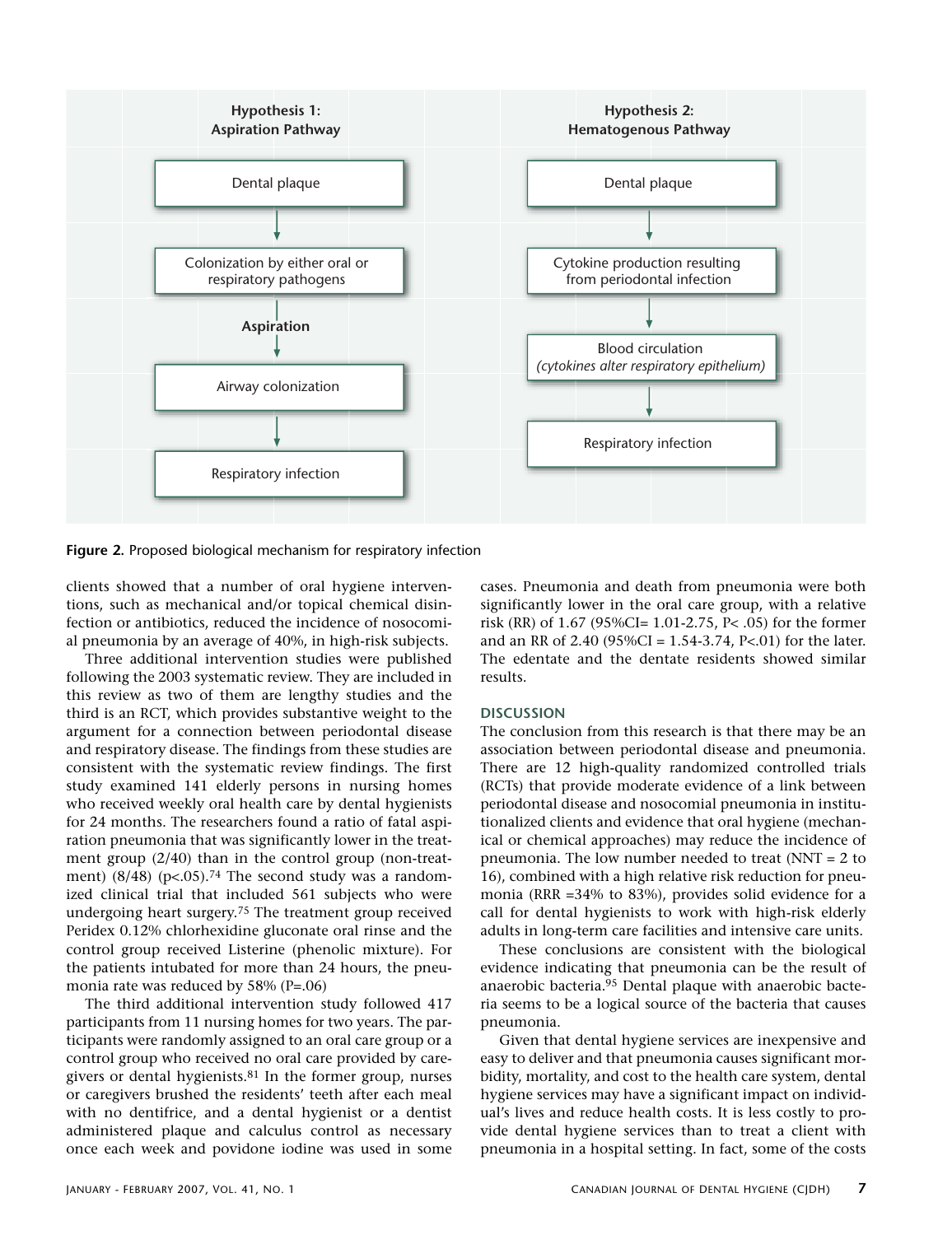

**Figure 2.** Proposed biological mechanism for respiratory infection

clients showed that a number of oral hygiene interventions, such as mechanical and/or topical chemical disinfection or antibiotics, reduced the incidence of nosocomial pneumonia by an average of 40%, in high-risk subjects.

Three additional intervention studies were published following the 2003 systematic review. They are included in this review as two of them are lengthy studies and the third is an RCT, which provides substantive weight to the argument for a connection between periodontal disease and respiratory disease. The findings from these studies are consistent with the systematic review findings. The first study examined 141 elderly persons in nursing homes who received weekly oral health care by dental hygienists for 24 months. The researchers found a ratio of fatal aspiration pneumonia that was significantly lower in the treatment group (2/40) than in the control group (non-treatment)  $(8/48)$  (p<.05).<sup>74</sup> The second study was a randomized clinical trial that included 561 subjects who were undergoing heart surgery.75 The treatment group received Peridex 0.12% chlorhexidine gluconate oral rinse and the control group received Listerine (phenolic mixture). For the patients intubated for more than 24 hours, the pneumonia rate was reduced by 58% (P=.06)

The third additional intervention study followed 417 participants from 11 nursing homes for two years. The participants were randomly assigned to an oral care group or a control group who received no oral care provided by caregivers or dental hygienists.<sup>81</sup> In the former group, nurses or caregivers brushed the residents' teeth after each meal with no dentifrice, and a dental hygienist or a dentist administered plaque and calculus control as necessary once each week and povidone iodine was used in some

cases. Pneumonia and death from pneumonia were both significantly lower in the oral care group, with a relative risk (RR) of 1.67 (95%CI= 1.01-2.75, P< .05) for the former and an RR of 2.40 (95%CI = 1.54-3.74, P<.01) for the later. The edentate and the dentate residents showed similar results.

### **DISCUSSION**

The conclusion from this research is that there may be an association between periodontal disease and pneumonia. There are 12 high-quality randomized controlled trials (RCTs) that provide moderate evidence of a link between periodontal disease and nosocomial pneumonia in institutionalized clients and evidence that oral hygiene (mechanical or chemical approaches) may reduce the incidence of pneumonia. The low number needed to treat (NNT = 2 to 16), combined with a high relative risk reduction for pneumonia (RRR =34% to 83%), provides solid evidence for a call for dental hygienists to work with high-risk elderly adults in long-term care facilities and intensive care units.

These conclusions are consistent with the biological evidence indicating that pneumonia can be the result of anaerobic bacteria.95 Dental plaque with anaerobic bacteria seems to be a logical source of the bacteria that causes pneumonia.

Given that dental hygiene services are inexpensive and easy to deliver and that pneumonia causes significant morbidity, mortality, and cost to the health care system, dental hygiene services may have a significant impact on individual's lives and reduce health costs. It is less costly to provide dental hygiene services than to treat a client with pneumonia in a hospital setting. In fact, some of the costs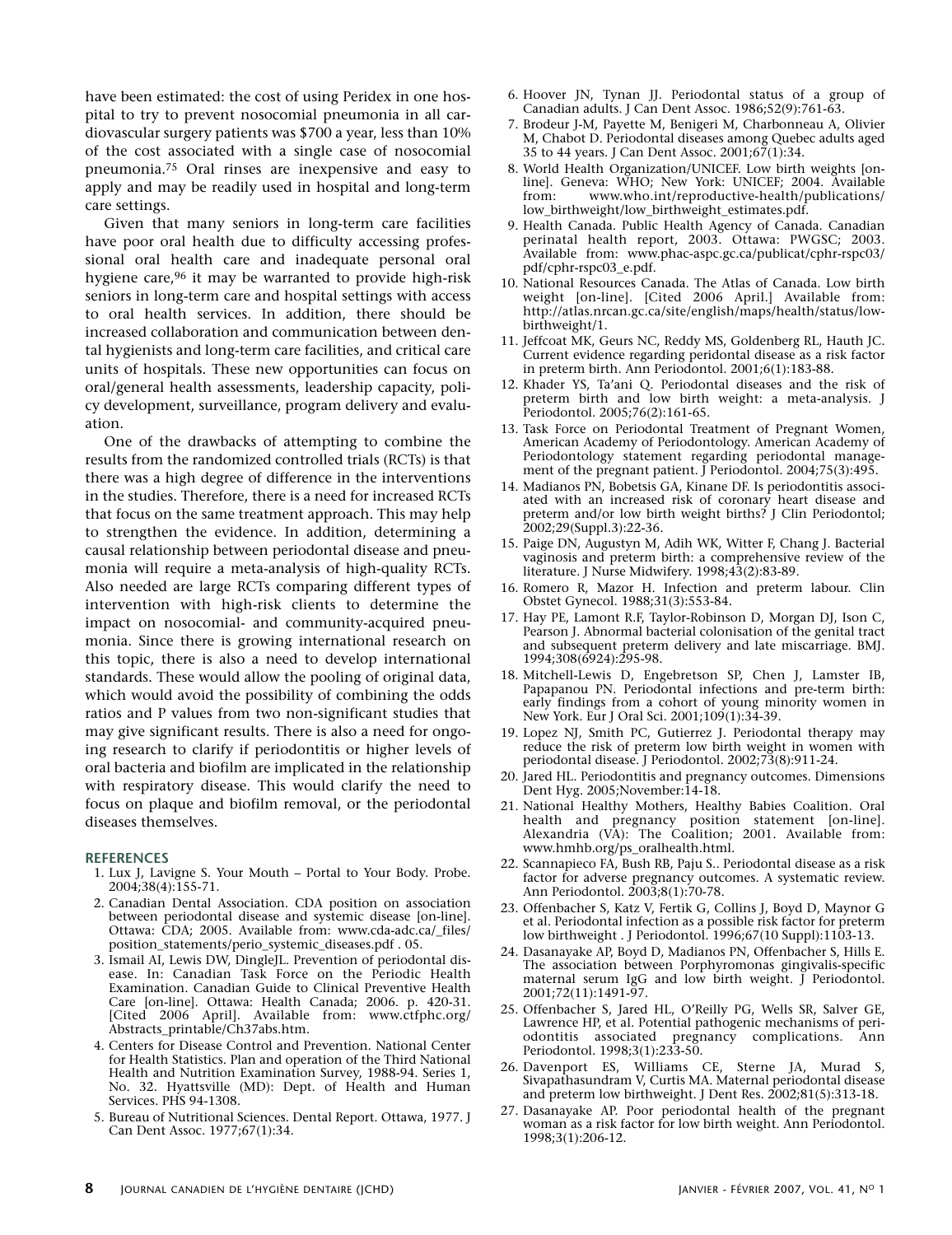have been estimated: the cost of using Peridex in one hospital to try to prevent nosocomial pneumonia in all cardiovascular surgery patients was \$700 a year, less than 10% of the cost associated with a single case of nosocomial pneumonia.75 Oral rinses are inexpensive and easy to apply and may be readily used in hospital and long-term care settings.

Given that many seniors in long-term care facilities have poor oral health due to difficulty accessing professional oral health care and inadequate personal oral hygiene care,<sup>96</sup> it may be warranted to provide high-risk seniors in long-term care and hospital settings with access to oral health services. In addition, there should be increased collaboration and communication between dental hygienists and long-term care facilities, and critical care units of hospitals. These new opportunities can focus on oral/general health assessments, leadership capacity, policy development, surveillance, program delivery and evaluation.

One of the drawbacks of attempting to combine the results from the randomized controlled trials (RCTs) is that there was a high degree of difference in the interventions in the studies. Therefore, there is a need for increased RCTs that focus on the same treatment approach. This may help to strengthen the evidence. In addition, determining a causal relationship between periodontal disease and pneumonia will require a meta-analysis of high-quality RCTs. Also needed are large RCTs comparing different types of intervention with high-risk clients to determine the impact on nosocomial- and community-acquired pneumonia. Since there is growing international research on this topic, there is also a need to develop international standards. These would allow the pooling of original data, which would avoid the possibility of combining the odds ratios and P values from two non-significant studies that may give significant results. There is also a need for ongoing research to clarify if periodontitis or higher levels of oral bacteria and biofilm are implicated in the relationship with respiratory disease. This would clarify the need to focus on plaque and biofilm removal, or the periodontal diseases themselves.

#### **REFERENCES**

- 1. Lux J, Lavigne S. Your Mouth Portal to Your Body. Probe. 2004;38(4):155-71.
- 2. Canadian Dental Association. CDA position on association between periodontal disease and systemic disease [on-line]. Ottawa: CDA; 2005. Available from: www.cda-adc.ca/\_files/ position\_statements/perio\_systemic\_diseases.pdf . 05.
- 3. Ismail AI, Lewis DW, DingleJL. Prevention of periodontal disease. In: Canadian Task Force on the Periodic Health Examination. Canadian Guide to Clinical Preventive Health Care [on-line]. Ottawa: Health Canada; 2006. p. 420-31. [Cited 2006 April]. Available from: www.ctfphc.org/ Abstracts\_printable/Ch37abs.htm.
- 4. Centers for Disease Control and Prevention. National Center for Health Statistics. Plan and operation of the Third National Health and Nutrition Examination Survey, 1988-94. Series 1, No. 32. Hyattsville (MD): Dept. of Health and Human Services. PHS 94-1308.
- 5. Bureau of Nutritional Sciences. Dental Report. Ottawa, 1977. J Can Dent Assoc. 1977;67(1):34.
- 6. Hoover JN, Tynan JJ. Periodontal status of a group of Canadian adults. J Can Dent Assoc. 1986;52(9):761-63.
- 7. Brodeur J-M, Payette M, Benigeri M, Charbonneau A, Olivier M, Chabot D. Periodontal diseases among Quebec adults aged 35 to 44 years. J Can Dent Assoc. 2001;67(1):34.
- 8. World Health Organization/UNICEF. Low birth weights [online]. Geneva: WHO; New York: UNICEF; 2004. Available from: www.who.int/reproductive-health/publications/ low\_birthweight/low\_birthweight\_estimates.pdf.
- 9. Health Canada. Public Health Agency of Canada. Canadian perinatal health report, 2003. Ottawa: PWGSC; 2003. Available from: www.phac-aspc.gc.ca/publicat/cphr-rspc03/ pdf/cphr-rspc03\_e.pdf.
- 10. National Resources Canada. The Atlas of Canada. Low birth weight [on-line]. [Cited 2006 April.] Available from: http://atlas.nrcan.gc.ca/site/english/maps/health/status/lowbirthweight/1.
- 11. Jeffcoat MK, Geurs NC, Reddy MS, Goldenberg RL, Hauth JC. Current evidence regarding peridontal disease as a risk factor in preterm birth. Ann Periodontol. 2001;6(1):183-88.
- 12. Khader YS, Ta'ani Q. Periodontal diseases and the risk of preterm birth and low birth weight: a meta-analysis. J Periodontol. 2005;76(2):161-65.
- 13. Task Force on Periodontal Treatment of Pregnant Women, American Academy of Periodontology. American Academy of Periodontology statement regarding periodontal management of the pregnant patient. J Periodontol. 2004;75(3):495.
- 14. Madianos PN, Bobetsis GA, Kinane DF. Is periodontitis associated with an increased risk of coronary heart disease and preterm and/or low birth weight births? J Clin Periodontol; 2002;29(Suppl.3):22-36.
- 15. Paige DN, Augustyn M, Adih WK, Witter F, Chang J. Bacterial vaginosis and preterm birth: a comprehensive review of the literature. J Nurse Midwifery. 1998;43(2):83-89.
- 16. Romero R, Mazor H. Infection and preterm labour. Clin Obstet Gynecol. 1988;31(3):553-84.
- 17. Hay PE, Lamont R.F, Taylor-Robinson D, Morgan DJ, Ison C, Pearson J. Abnormal bacterial colonisation of the genital tract and subsequent preterm delivery and late miscarriage. BMJ. 1994;308(6924):295-98.
- 18. Mitchell-Lewis D, Engebretson SP, Chen J, Lamster IB, Papapanou PN. Periodontal infections and pre-term birth: early findings from a cohort of young minority women in New York. Eur J Oral Sci. 2001;109(1):34-39.
- 19. Lopez NJ, Smith PC, Gutierrez J. Periodontal therapy may reduce the risk of preterm low birth weight in women with periodontal disease. J Periodontol. 2002;73(8):911-24.
- 20. Jared HL. Periodontitis and pregnancy outcomes. Dimensions Dent Hyg. 2005; November: 14-18.
- 21. National Healthy Mothers, Healthy Babies Coalition. Oral health and pregnancy position statement [on-line]. Alexandria (VA): The Coalition; 2001. Available from: www.hmhb.org/ps\_oralhealth.html.
- 22. Scannapieco FA, Bush RB, Paju S.. Periodontal disease as a risk factor for adverse pregnancy outcomes. A systematic review. Ann Periodontol. 2003;8(1):70-78.
- 23. Offenbacher S, Katz V, Fertik G, Collins J, Boyd D, Maynor G et al. Periodontal infection as a possible risk factor for preterm low birthweight . J Periodontol. 1996;67(10 Suppl):1103-13.
- 24. Dasanayake AP, Boyd D, Madianos PN, Offenbacher S, Hills E. The association between Porphyromonas gingivalis-specific maternal serum IgG and low birth weight. J Periodontol. 2001;72(11):1491-97.
- 25. Offenbacher S, Jared HL, O'Reilly PG, Wells SR, Salver GE, Lawrence HP, et al. Potential pathogenic mechanisms of periodontitis associated pregnancy complications. Ann Periodontol. 1998;3(1):233-50.
- 26. Davenport ES, Williams CE, Sterne JA, Murad S, Sivapathasundram V, Curtis MA. Maternal periodontal disease and preterm low birthweight. J Dent Res. 2002;81(5):313-18.
- 27. Dasanayake AP. Poor periodontal health of the pregnant woman as a risk factor for low birth weight. Ann Periodontol. 1998;3(1):206-12.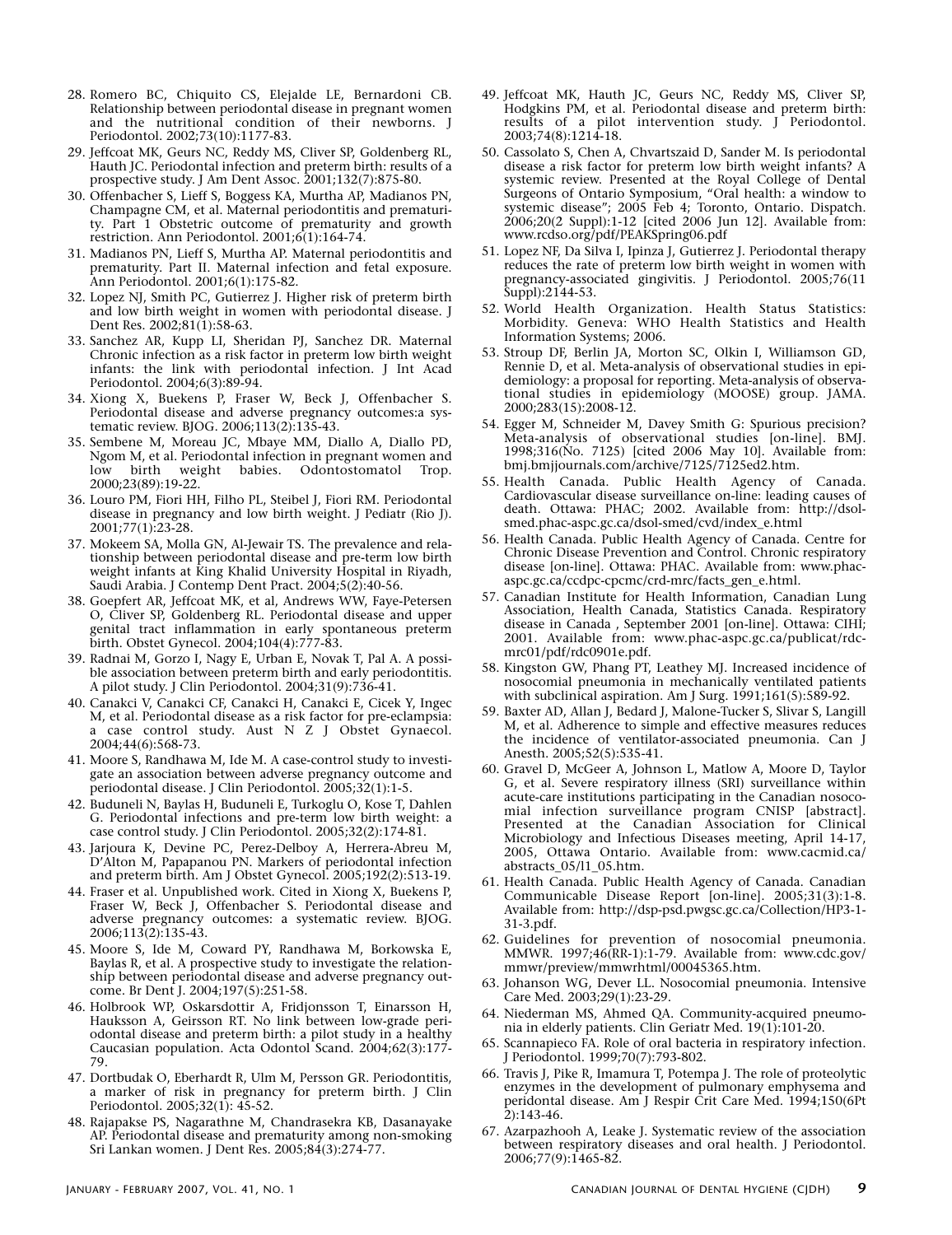- 28. Romero BC, Chiquito CS, Elejalde LE, Bernardoni CB. Relationship between periodontal disease in pregnant women and the nutritional condition of their newborns. J Periodontol. 2002;73(10):1177-83.
- 29. Jeffcoat MK, Geurs NC, Reddy MS, Cliver SP, Goldenberg RL, Hauth JC. Periodontal infection and preterm birth: results of a prospective study. J Am Dent Assoc. 2001;132(7):875-80.
- 30. Offenbacher S, Lieff S, Boggess KA, Murtha AP, Madianos PN, Champagne CM, et al. Maternal periodontitis and prematurity. Part 1 Obstetric outcome of prematurity and growth restriction. Ann Periodontol. 2001;6(1):164-74.
- 31. Madianos PN, Lieff S, Murtha AP. Maternal periodontitis and prematurity. Part II. Maternal infection and fetal exposure. Ann Periodontol. 2001;6(1):175-82.
- 32. Lopez NJ, Smith PC, Gutierrez J. Higher risk of preterm birth and low birth weight in women with periodontal disease. J Dent Res. 2002;81(1):58-63.
- 33. Sanchez AR, Kupp LI, Sheridan PJ, Sanchez DR. Maternal Chronic infection as a risk factor in preterm low birth weight infants: the link with periodontal infection. J Int Acad Periodontol. 2004;6(3):89-94.
- 34. Xiong X, Buekens P, Fraser W, Beck J, Offenbacher S. Periodontal disease and adverse pregnancy outcomes:a systematic review. BJOG. 2006;113(2):135-43.
- 35. Sembene M, Moreau JC, Mbaye MM, Diallo A, Diallo PD, Ngom M, et al. Periodontal infection in pregnant women and<br>low birth weight babies. Odontostomatol Trop. low birth weight babies. Odontostomatol Trop. 2000;23(89):19-22.
- 36. Louro PM, Fiori HH, Filho PL, Steibel J, Fiori RM. Periodontal disease in pregnancy and low birth weight. J Pediatr (Rio J). 2001;77(1):23-28.
- 37. Mokeem SA, Molla GN, Al-Jewair TS. The prevalence and relationship between periodontal disease and pre-term low birth weight infants at King Khalid University Hospital in Riyadh, Saudi Arabia. J Contemp Dent Pract. 2004;5(2):40-56.
- 38. Goepfert AR, Jeffcoat MK, et al, Andrews WW, Faye-Petersen O, Cliver SP, Goldenberg RL. Periodontal disease and upper genital tract inflammation in early spontaneous preterm birth. Obstet Gynecol. 2004;104(4):777-83.
- 39. Radnai M, Gorzo I, Nagy E, Urban E, Novak T, Pal A. A possible association between preterm birth and early periodontitis. A pilot study. J Clin Periodontol. 2004;31(9):736-41.
- 40. Canakci V, Canakci CF, Canakci H, Canakci E, Cicek Y, Ingec M, et al. Periodontal disease as a risk factor for pre-eclampsia: a case control study. Aust N Z J Obstet Gynaecol. 2004;44(6):568-73.
- 41. Moore S, Randhawa M, Ide M. A case-control study to investigate an association between adverse pregnancy outcome and periodontal disease. J Clin Periodontol. 2005;32(1):1-5.
- 42. Buduneli N, Baylas H, Buduneli E, Turkoglu O, Kose T, Dahlen G. Periodontal infections and pre-term low birth weight: a case control study. J Clin Periodontol. 2005;32(2):174-81.
- 43. Jarjoura K, Devine PC, Perez-Delboy A, Herrera-Abreu M, D'Alton M, Papapanou PN. Markers of periodontal infection and preterm birth. Am J Obstet Gynecol. 2005;192(2):513-19.
- 44. Fraser et al. Unpublished work. Cited in Xiong X, Buekens P, Fraser W, Beck J, Offenbacher S. Periodontal disease and adverse pregnancy outcomes: a systematic review. BJOG. 2006;113(2):135-43.
- 45. Moore S, Ide M, Coward PY, Randhawa M, Borkowska E, Baylas R, et al. A prospective study to investigate the relationship between periodontal disease and adverse pregnancy outcome. Br Dent J. 2004;197(5):251-58.
- 46. Holbrook WP, Oskarsdottir A, Fridjonsson T, Einarsson H, Hauksson A, Geirsson RT. No link between low-grade periodontal disease and preterm birth: a pilot study in a healthy Caucasian population. Acta Odontol Scand. 2004;62(3):177- 79.
- 47. Dortbudak O, Eberhardt R, Ulm M, Persson GR. Periodontitis, a marker of risk in pregnancy for preterm birth. J Clin Periodontol. 2005;32(1): 45-52.
- 48. Rajapakse PS, Nagarathne M, Chandrasekra KB, Dasanayake AP. Periodontal disease and prematurity among non-smoking Sri Lankan women. J Dent Res. 2005;84(3):274-77.
- 49. Jeffcoat MK, Hauth JC, Geurs NC, Reddy MS, Cliver SP, Hodgkins PM, et al. Periodontal disease and preterm birth: results of a pilot intervention study. J Periodontol. 2003;74(8):1214-18.
- 50. Cassolato S, Chen A, Chvartszaid D, Sander M. Is periodontal disease a risk factor for preterm low birth weight infants? A systemic review. Presented at the Royal College of Dental Surgeons of Ontario Symposium, "Oral health: a window to systemic disease"; 2005 Feb 4; Toronto, Ontario. Dispatch. 2006;20(2 Suppl):1-12 [cited 2006 Jun 12]. Available from: www.rcdso.org/pdf/PEAKSpring06.pdf
- 51. Lopez NF, Da Silva I, Ipinza J, Gutierrez J. Periodontal therapy reduces the rate of preterm low birth weight in women with pregnancy-associated gingivitis. J Periodontol. 2005;76(11 Suppl):2144-53.
- 52. World Health Organization. Health Status Statistics: Morbidity. Geneva: WHO Health Statistics and Health Information Systems; 2006.
- 53. Stroup DF, Berlin JA, Morton SC, Olkin I, Williamson GD, Rennie D, et al. Meta-analysis of observational studies in epidemiology: a proposal for reporting. Meta-analysis of observational studies in epidemiology (MOOSE) group. JAMA. 2000;283(15):2008-12.
- 54. Egger M, Schneider M, Davey Smith G: Spurious precision? Meta-analysis of observational studies [on-line]. BMJ. 1998;316(No. 7125) [cited 2006 May 10]. Available from: bmj.bmjjournals.com/archive/7125/7125ed2.htm.
- 55. Health Canada. Public Health Agency of Canada. Cardiovascular disease surveillance on-line: leading causes of death. Ottawa: PHAC; 2002. Available from: http://dsolsmed.phac-aspc.gc.ca/dsol-smed/cvd/index\_e.html
- 56. Health Canada. Public Health Agency of Canada. Centre for Chronic Disease Prevention and Control. Chronic respiratory disease [on-line]. Ottawa: PHAC. Available from: www.phacaspc.gc.ca/ccdpc-cpcmc/crd-mrc/facts\_gen\_e.html.
- 57. Canadian Institute for Health Information, Canadian Lung Association, Health Canada, Statistics Canada. Respiratory disease in Canada , September 2001 [on-line]. Ottawa: CIHI; 2001. Available from: www.phac-aspc.gc.ca/publicat/rdcmrc01/pdf/rdc0901e.pdf.
- 58. Kingston GW, Phang PT, Leathey MJ. Increased incidence of nosocomial pneumonia in mechanically ventilated patients with subclinical aspiration. Am J Surg. 1991;161(5):589-92.
- 59. Baxter AD, Allan J, Bedard J, Malone-Tucker S, Slivar S, Langill M, et al. Adherence to simple and effective measures reduces the incidence of ventilator-associated pneumonia. Can J Anesth. 2005;52(5):535-41.
- 60. Gravel D, McGeer A, Johnson L, Matlow A, Moore D, Taylor G, et al. Severe respiratory illness (SRI) surveillance within acute-care institutions participating in the Canadian nosocomial infection surveillance program CNISP [abstract]. Presented at the Canadian Association for Clinical Microbiology and Infectious Diseases meeting, April 14-17, 2005, Ottawa Ontario. Available from: www.cacmid.ca/ abstracts\_05/l1\_05.htm.
- 61. Health Canada. Public Health Agency of Canada. Canadian Communicable Disease Report [on-line]. 2005;31(3):1-8. Available from: http://dsp-psd.pwgsc.gc.ca/Collection/HP3-1- 31-3.pdf.
- 62. Guidelines for prevention of nosocomial pneumonia. MMWR. 1997;46(RR-1):1-79. Available from: www.cdc.gov/ mmwr/preview/mmwrhtml/00045365.htm.
- 63. Johanson WG, Dever LL. Nosocomial pneumonia. Intensive Care Med. 2003;29(1):23-29.
- 64. Niederman MS, Ahmed QA. Community-acquired pneumonia in elderly patients. Clin Geriatr Med. 19(1):101-20.
- 65. Scannapieco FA. Role of oral bacteria in respiratory infection. J Periodontol. 1999;70(7):793-802.
- 66. Travis J, Pike R, Imamura T, Potempa J. The role of proteolytic enzymes in the development of pulmonary emphysema and peridontal disease. Am J Respir Crit Care Med. 1994;150(6Pt  $2$ :143-46.
- 67. Azarpazhooh A, Leake J. Systematic review of the association between respiratory diseases and oral health. J Periodontol. 2006;77(9):1465-82.